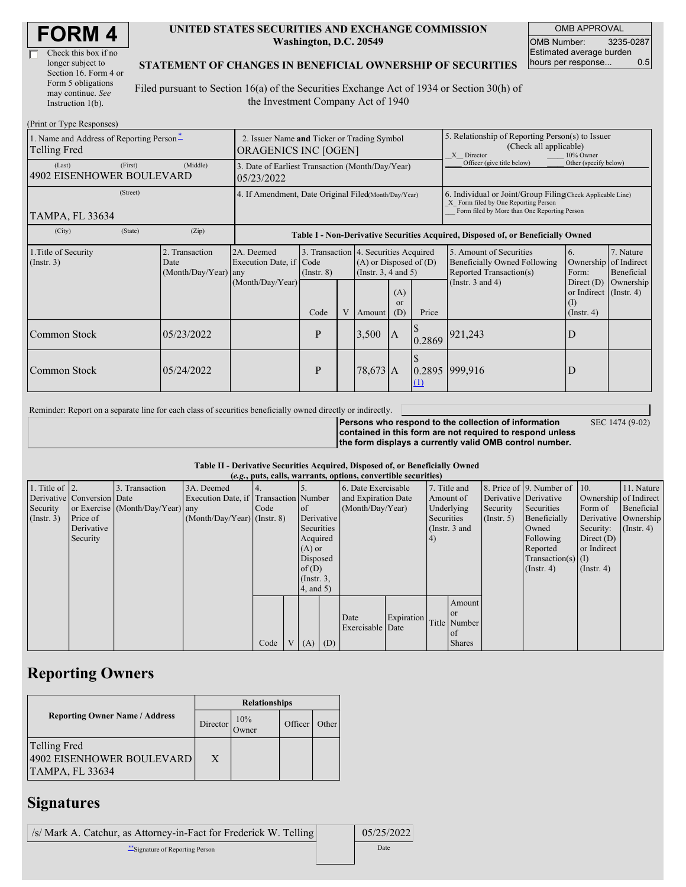| Check this box if no  |
|-----------------------|
| longer subject to     |
| Section 16. Form 4 or |
| Form 5 obligations    |
| may continue. See     |
| Instruction 1(b).     |

### **UNITED STATES SECURITIES AND EXCHANGE COMMISSION Washington, D.C. 20549**

OMB APPROVAL OMB Number: 3235-0287 Estimated average burden hours per response... 0.5

### **STATEMENT OF CHANGES IN BENEFICIAL OWNERSHIP OF SECURITIES**

Filed pursuant to Section 16(a) of the Securities Exchange Act of 1934 or Section 30(h) of the Investment Company Act of 1940

| (Print or Type Responses)                                  |                                                                            |                                            |                                                                                  |                          |   |                                                                                                                                              |                                                                                                                                                    |          |                                                                                                             |                                                                                                        |                                                     |
|------------------------------------------------------------|----------------------------------------------------------------------------|--------------------------------------------|----------------------------------------------------------------------------------|--------------------------|---|----------------------------------------------------------------------------------------------------------------------------------------------|----------------------------------------------------------------------------------------------------------------------------------------------------|----------|-------------------------------------------------------------------------------------------------------------|--------------------------------------------------------------------------------------------------------|-----------------------------------------------------|
| 1. Name and Address of Reporting Person-<br>Telling Fred   | 2. Issuer Name and Ticker or Trading Symbol<br><b>ORAGENICS INC [OGEN]</b> |                                            |                                                                                  |                          |   |                                                                                                                                              | 5. Relationship of Reporting Person(s) to Issuer<br>(Check all applicable)<br>X Director<br>10% Owner                                              |          |                                                                                                             |                                                                                                        |                                                     |
| (First)<br>(Middle)<br>(Last)<br>4902 EISENHOWER BOULEVARD |                                                                            |                                            | 3. Date of Earliest Transaction (Month/Day/Year)<br>05/23/2022                   |                          |   |                                                                                                                                              |                                                                                                                                                    |          | Officer (give title below)                                                                                  | Other (specify below)                                                                                  |                                                     |
| <b>TAMPA, FL 33634</b>                                     | 4. If Amendment, Date Original Filed(Month/Day/Year)                       |                                            |                                                                                  |                          |   |                                                                                                                                              | 6. Individual or Joint/Group Filing(Check Applicable Line)<br>X Form filed by One Reporting Person<br>Form filed by More than One Reporting Person |          |                                                                                                             |                                                                                                        |                                                     |
| (City)                                                     | (State)                                                                    | (Zip)                                      | Table I - Non-Derivative Securities Acquired, Disposed of, or Beneficially Owned |                          |   |                                                                                                                                              |                                                                                                                                                    |          |                                                                                                             |                                                                                                        |                                                     |
| 1. Title of Security<br>$($ Instr. 3 $)$                   |                                                                            | 2. Transaction<br>Date<br>(Month/Day/Year) | 2A. Deemed<br>Execution Date, if Code<br>any<br>(Month/Day/Year)                 | $($ Instr. 8 $)$<br>Code | V | 3. Transaction 4. Securities Acquired<br>$(A)$ or Disposed of $(D)$<br>(Instr. $3, 4$ and $5$ )<br>(A)<br>$\alpha$<br>(D)<br>Price<br>Amount |                                                                                                                                                    |          | 5. Amount of Securities<br>Beneficially Owned Following<br>Reported Transaction(s)<br>(Instr. $3$ and $4$ ) | 6.<br>Ownership<br>Form:<br>Direct $(D)$<br>or Indirect $($ Instr. 4 $)$<br>$($ I)<br>$($ Instr. 4 $)$ | 7. Nature<br>of Indirect<br>Beneficial<br>Ownership |
| Common Stock                                               |                                                                            | 05/23/2022                                 |                                                                                  | P                        |   | 3,500                                                                                                                                        | $\mathbf{A}$                                                                                                                                       | 0.2869   | 921,243                                                                                                     | D                                                                                                      |                                                     |
| Common Stock                                               |                                                                            | 05/24/2022                                 |                                                                                  | P                        |   | $78,673$ A                                                                                                                                   |                                                                                                                                                    | $\Omega$ | 0.2895 999,916                                                                                              | D                                                                                                      |                                                     |

Reminder: Report on a separate line for each class of securities beneficially owned directly or indirectly.

SEC 1474 (9-02)

**Persons who respond to the collection of information contained in this form are not required to respond unless the form displays a currently valid OMB control number.**

#### **Table II - Derivative Securities Acquired, Disposed of, or Beneficially Owned**

| (e.g., puts, calls, warrants, options, convertible securities) |                            |                                  |                                       |      |                |                  |            |                     |            |                 |               |                      |                              |                       |                      |
|----------------------------------------------------------------|----------------------------|----------------------------------|---------------------------------------|------|----------------|------------------|------------|---------------------|------------|-----------------|---------------|----------------------|------------------------------|-----------------------|----------------------|
| 1. Title of $\vert$ 2.                                         |                            | 3. Transaction                   | 3A. Deemed                            |      |                |                  |            | 6. Date Exercisable |            | 7. Title and    |               |                      | 8. Price of 9. Number of 10. |                       | 11. Nature           |
|                                                                | Derivative Conversion Date |                                  | Execution Date, if Transaction Number |      |                |                  |            | and Expiration Date |            | Amount of       |               |                      | Derivative Derivative        | Ownership of Indirect |                      |
| Security                                                       |                            | or Exercise (Month/Day/Year) any |                                       | Code |                | <sub>of</sub>    |            | (Month/Day/Year)    |            | Underlying      |               | Security             | Securities                   | Form of               | Beneficial           |
| (Insert. 3)                                                    | Price of                   |                                  | $(Month/Day/Year)$ (Instr. 8)         |      |                |                  | Derivative |                     |            |                 | Securities    | $($ Instr. 5)        | Beneficially                 |                       | Derivative Ownership |
|                                                                | Derivative                 |                                  |                                       |      |                | Securities       |            |                     |            | (Instr. $3$ and |               |                      | Owned                        | Security:             | $($ Instr. 4 $)$     |
|                                                                | Security                   |                                  |                                       |      |                | Acquired         |            |                     |            | (4)             |               |                      | Following                    | Direct $(D)$          |                      |
|                                                                |                            |                                  |                                       |      |                | $(A)$ or         |            |                     |            |                 |               |                      | Reported                     | or Indirect           |                      |
|                                                                |                            |                                  |                                       |      |                |                  | Disposed   |                     |            |                 |               | $Transaction(s)$ (I) |                              |                       |                      |
|                                                                |                            |                                  |                                       |      |                | of $(D)$         |            |                     |            |                 |               |                      | $($ Instr. 4 $)$             | $($ Instr. 4 $)$      |                      |
|                                                                |                            |                                  |                                       |      |                | $($ Instr. $3$ , |            |                     |            |                 |               |                      |                              |                       |                      |
|                                                                |                            |                                  |                                       |      |                | 4, and 5)        |            |                     |            |                 |               |                      |                              |                       |                      |
|                                                                |                            |                                  |                                       |      |                |                  |            |                     |            |                 | Amount        |                      |                              |                       |                      |
|                                                                |                            |                                  |                                       |      |                |                  |            | Date                | Expiration |                 | <sub>or</sub> |                      |                              |                       |                      |
|                                                                |                            |                                  |                                       |      |                |                  |            | Exercisable Date    |            | Title Number    |               |                      |                              |                       |                      |
|                                                                |                            |                                  |                                       |      |                |                  |            |                     |            |                 | of            |                      |                              |                       |                      |
|                                                                |                            |                                  |                                       | Code | V <sub>1</sub> | $(A)$ $(D)$      |            |                     |            |                 | <b>Shares</b> |                      |                              |                       |                      |

## **Reporting Owners**

|                                                                     | <b>Relationships</b> |              |         |       |  |  |  |  |
|---------------------------------------------------------------------|----------------------|--------------|---------|-------|--|--|--|--|
| <b>Reporting Owner Name / Address</b>                               | Director             | 10%<br>Owner | Officer | Other |  |  |  |  |
| Telling Fred<br>4902 EISENHOWER BOULEVARD<br><b>TAMPA, FL 33634</b> | X                    |              |         |       |  |  |  |  |

## **Signatures**

| /s/ Mark A. Catchur, as Attorney-in-Fact for Frederick W. Telling | 05/25/2022 |
|-------------------------------------------------------------------|------------|
| Signature of Reporting Person                                     | Date       |